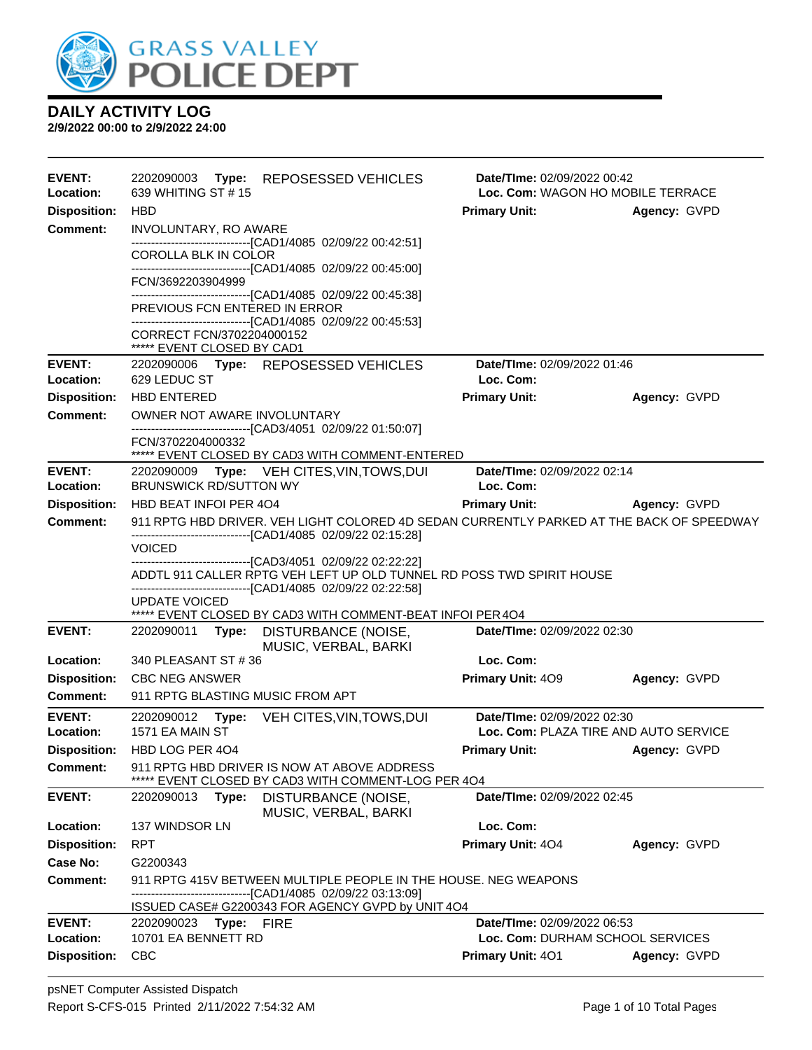

| <b>EVENT:</b><br>Location:       | 2202090003 Type: REPOSESSED VEHICLES<br>639 WHITING ST #15                                                                                                | Date/TIme: 02/09/2022 00:42<br>Loc. Com: WAGON HO MOBILE TERRACE |              |  |  |
|----------------------------------|-----------------------------------------------------------------------------------------------------------------------------------------------------------|------------------------------------------------------------------|--------------|--|--|
| <b>Disposition:</b>              | <b>HBD</b>                                                                                                                                                | <b>Primary Unit:</b>                                             | Agency: GVPD |  |  |
| Comment:                         | INVOLUNTARY, RO AWARE<br>-------------------------------[CAD1/4085 02/09/22 00:42:51]                                                                     |                                                                  |              |  |  |
|                                  | COROLLA BLK IN COLOR<br>------------------------------[CAD1/4085_02/09/22_00:45:00]                                                                       |                                                                  |              |  |  |
|                                  | FCN/3692203904999<br>-------------------------------[CAD1/4085 02/09/22 00:45:38]                                                                         |                                                                  |              |  |  |
|                                  | PREVIOUS FCN ENTERED IN ERROR<br>-------------------------------[CAD1/4085 02/09/22 00:45:53]                                                             |                                                                  |              |  |  |
|                                  | CORRECT FCN/3702204000152<br>***** EVENT CLOSED BY CAD1                                                                                                   |                                                                  |              |  |  |
| <b>EVENT:</b>                    | 2202090006 Type: REPOSESSED VEHICLES                                                                                                                      | Date/TIme: 02/09/2022 01:46                                      |              |  |  |
| Location:                        | 629 LEDUC ST                                                                                                                                              | Loc. Com:                                                        |              |  |  |
| <b>Disposition:</b>              | <b>HBD ENTERED</b>                                                                                                                                        | <b>Primary Unit:</b>                                             | Agency: GVPD |  |  |
| Comment:                         | OWNER NOT AWARE INVOLUNTARY<br>------------------------------[CAD3/4051_02/09/22 01:50:07]                                                                |                                                                  |              |  |  |
|                                  | FCN/3702204000332<br>***** EVENT CLOSED BY CAD3 WITH COMMENT-ENTERED                                                                                      |                                                                  |              |  |  |
| <b>EVENT:</b>                    | 2202090009 Type: VEH CITES, VIN, TOWS, DUI                                                                                                                | Date/TIme: 02/09/2022 02:14                                      |              |  |  |
| Location:                        | <b>BRUNSWICK RD/SUTTON WY</b>                                                                                                                             | Loc. Com:                                                        |              |  |  |
| <b>Disposition:</b>              | HBD BEAT INFOI PER 4O4                                                                                                                                    | <b>Primary Unit:</b>                                             | Agency: GVPD |  |  |
| <b>Comment:</b>                  | 911 RPTG HBD DRIVER. VEH LIGHT COLORED 4D SEDAN CURRENTLY PARKED AT THE BACK OF SPEEDWAY<br>--------------------------------[CAD1/4085 02/09/22 02:15:28] |                                                                  |              |  |  |
|                                  | <b>VOICED</b>                                                                                                                                             |                                                                  |              |  |  |
|                                  | -------------------------------[CAD3/4051 02/09/22 02:22:22]<br>ADDTL 911 CALLER RPTG VEH LEFT UP OLD TUNNEL RD POSS TWD SPIRIT HOUSE                     |                                                                  |              |  |  |
|                                  | -------------------------------[CAD1/4085 02/09/22 02:22:58]<br><b>UPDATE VOICED</b><br>***** EVENT CLOSED BY CAD3 WITH COMMENT-BEAT INFOI PER 4O4        |                                                                  |              |  |  |
| <b>EVENT:</b>                    | 2202090011<br>DISTURBANCE (NOISE,<br>Type:<br>MUSIC, VERBAL, BARKI                                                                                        | Date/TIme: 02/09/2022 02:30                                      |              |  |  |
| Location:                        | 340 PLEASANT ST #36                                                                                                                                       | Loc. Com:                                                        |              |  |  |
| <b>Disposition:</b>              | <b>CBC NEG ANSWER</b>                                                                                                                                     | Primary Unit: 409                                                | Agency: GVPD |  |  |
| <b>Comment:</b>                  | 911 RPTG BLASTING MUSIC FROM APT                                                                                                                          |                                                                  |              |  |  |
| <b>EVENT:</b>                    | 2202090012<br>Type:<br>VEH CITES, VIN, TOWS, DUI                                                                                                          | Date/TIme: 02/09/2022 02:30                                      |              |  |  |
| Location:                        | 1571 EA MAIN ST                                                                                                                                           | Loc. Com: PLAZA TIRE AND AUTO SERVICE                            |              |  |  |
| <b>Disposition:</b>              | HBD LOG PER 404                                                                                                                                           | <b>Primary Unit:</b>                                             | Agency: GVPD |  |  |
| <b>Comment:</b>                  | 911 RPTG HBD DRIVER IS NOW AT ABOVE ADDRESS<br>EVENT CLOSED BY CAD3 WITH COMMENT-LOG PER 4O4                                                              |                                                                  |              |  |  |
| <b>EVENT:</b>                    | DISTURBANCE (NOISE,<br>2202090013<br>Type:<br>MUSIC, VERBAL, BARKI                                                                                        | Date/TIme: 02/09/2022 02:45                                      |              |  |  |
| Location:                        | 137 WINDSOR LN                                                                                                                                            | Loc. Com:                                                        |              |  |  |
| <b>Disposition:</b>              | <b>RPT</b>                                                                                                                                                | Primary Unit: 404                                                | Agency: GVPD |  |  |
| Case No:                         | G2200343                                                                                                                                                  |                                                                  |              |  |  |
| Comment:                         | 911 RPTG 415V BETWEEN MULTIPLE PEOPLE IN THE HOUSE. NEG WEAPONS                                                                                           |                                                                  |              |  |  |
|                                  | ---------------------[CAD1/4085_02/09/22_03:13:09]                                                                                                        |                                                                  |              |  |  |
|                                  | ISSUED CASE# G2200343 FOR AGENCY GVPD by UNIT 4O4                                                                                                         |                                                                  |              |  |  |
| <b>EVENT:</b>                    | Type:<br>2202090023<br>FIRE                                                                                                                               | Date/TIme: 02/09/2022 06:53                                      |              |  |  |
| Location:<br><b>Disposition:</b> | 10701 EA BENNETT RD<br><b>CBC</b>                                                                                                                         | Loc. Com: DURHAM SCHOOL SERVICES<br><b>Primary Unit: 401</b>     | Agency: GVPD |  |  |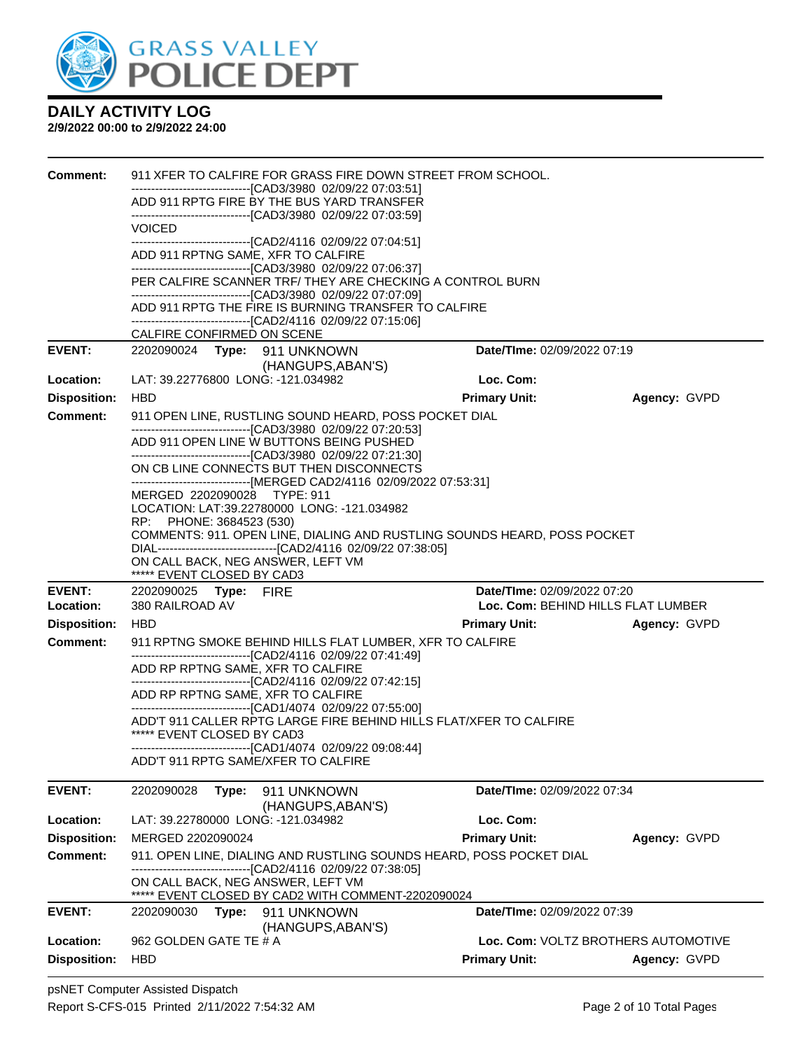

| <b>Comment:</b>                  | 911 XFER TO CALFIRE FOR GRASS FIRE DOWN STREET FROM SCHOOL.<br>---------------------------------[CAD3/3980_02/09/22_07:03:51] |                                                                                                                                    |                                                             |              |  |  |
|----------------------------------|-------------------------------------------------------------------------------------------------------------------------------|------------------------------------------------------------------------------------------------------------------------------------|-------------------------------------------------------------|--------------|--|--|
|                                  |                                                                                                                               | ADD 911 RPTG FIRE BY THE BUS YARD TRANSFER<br>-------------------------------[CAD3/3980 02/09/22 07:03:59]                         |                                                             |              |  |  |
|                                  | VOICED                                                                                                                        |                                                                                                                                    |                                                             |              |  |  |
|                                  | ADD 911 RPTNG SAME, XFR TO CALFIRE                                                                                            | ------------------------------[CAD2/4116 02/09/22 07:04:51]                                                                        |                                                             |              |  |  |
|                                  |                                                                                                                               | -------------------------------[CAD3/3980 02/09/22 07:06:37]                                                                       |                                                             |              |  |  |
|                                  |                                                                                                                               | PER CALFIRE SCANNER TRF/ THEY ARE CHECKING A CONTROL BURN<br>-------------------------------[CAD3/3980 02/09/22 07:07:09]          |                                                             |              |  |  |
|                                  |                                                                                                                               | ADD 911 RPTG THE FIRE IS BURNING TRANSFER TO CALFIRE                                                                               |                                                             |              |  |  |
|                                  | CALFIRE CONFIRMED ON SCENE                                                                                                    | -------------------------------[CAD2/4116 02/09/22 07:15:06]                                                                       |                                                             |              |  |  |
| <b>EVENT:</b>                    | 2202090024 Type: 911 UNKNOWN                                                                                                  |                                                                                                                                    | Date/TIme: 02/09/2022 07:19                                 |              |  |  |
| Location:                        | LAT: 39.22776800 LONG: -121.034982                                                                                            | (HANGUPS, ABAN'S)                                                                                                                  | Loc. Com:                                                   |              |  |  |
| <b>Disposition:</b>              | <b>HBD</b>                                                                                                                    |                                                                                                                                    | <b>Primary Unit:</b>                                        | Agency: GVPD |  |  |
| <b>Comment:</b>                  |                                                                                                                               | 911 OPEN LINE, RUSTLING SOUND HEARD, POSS POCKET DIAL                                                                              |                                                             |              |  |  |
|                                  |                                                                                                                               | -------------------------------[CAD3/3980 02/09/22 07:20:53]                                                                       |                                                             |              |  |  |
|                                  |                                                                                                                               | ADD 911 OPEN LINE W BUTTONS BEING PUSHED<br>-------------------------------[CAD3/3980 02/09/22 07:21:30]                           |                                                             |              |  |  |
|                                  |                                                                                                                               | ON CB LINE CONNECTS BUT THEN DISCONNECTS                                                                                           |                                                             |              |  |  |
|                                  | MERGED 2202090028 TYPE: 911                                                                                                   | ------------------------------[MERGED CAD2/4116 02/09/2022 07:53:31]                                                               |                                                             |              |  |  |
|                                  | RP: PHONE: 3684523 (530)                                                                                                      | LOCATION: LAT:39.22780000 LONG: -121.034982                                                                                        |                                                             |              |  |  |
|                                  |                                                                                                                               | COMMENTS: 911. OPEN LINE, DIALING AND RUSTLING SOUNDS HEARD, POSS POCKET                                                           |                                                             |              |  |  |
|                                  | ON CALL BACK, NEG ANSWER, LEFT VM                                                                                             | DIAL----------------------------------[CAD2/4116 02/09/22 07:38:05]                                                                |                                                             |              |  |  |
|                                  | ***** EVENT CLOSED BY CAD3                                                                                                    |                                                                                                                                    |                                                             |              |  |  |
| <b>EVENT:</b>                    | 2202090025 Type: FIRE                                                                                                         |                                                                                                                                    | Date/TIme: 02/09/2022 07:20                                 |              |  |  |
| Location:<br><b>Disposition:</b> | 380 RAILROAD AV<br><b>HBD</b>                                                                                                 |                                                                                                                                    | Loc. Com: BEHIND HILLS FLAT LUMBER<br><b>Primary Unit:</b>  | Agency: GVPD |  |  |
| <b>Comment:</b>                  |                                                                                                                               | 911 RPTNG SMOKE BEHIND HILLS FLAT LUMBER, XFR TO CALFIRE                                                                           |                                                             |              |  |  |
|                                  |                                                                                                                               | -------------------------------[CAD2/4116 02/09/22 07:41:49]                                                                       |                                                             |              |  |  |
|                                  | ADD RP RPTNG SAME, XFR TO CALFIRE                                                                                             | -------------------------------[CAD2/4116 02/09/22 07:42:15]                                                                       |                                                             |              |  |  |
|                                  | ADD RP RPTNG SAME, XFR TO CALFIRE                                                                                             |                                                                                                                                    |                                                             |              |  |  |
|                                  |                                                                                                                               | -------------------------------[CAD1/4074 02/09/22 07:55:00]<br>ADD'T 911 CALLER RPTG LARGE FIRE BEHIND HILLS FLAT/XFER TO CALFIRE |                                                             |              |  |  |
|                                  | ***** EVENT CLOSED BY CAD3                                                                                                    |                                                                                                                                    |                                                             |              |  |  |
|                                  |                                                                                                                               | -------------------------------[CAD1/4074_02/09/22_09:08:44]<br>ADD'T 911 RPTG SAME/XFER TO CALFIRE                                |                                                             |              |  |  |
| <b>EVENT:</b>                    | 2202090028<br>Type:                                                                                                           | 911 UNKNOWN                                                                                                                        | Date/TIme: 02/09/2022 07:34                                 |              |  |  |
|                                  |                                                                                                                               | (HANGUPS, ABAN'S)                                                                                                                  |                                                             |              |  |  |
| Location:                        | LAT: 39.22780000 LONG: -121.034982                                                                                            |                                                                                                                                    | Loc. Com:                                                   |              |  |  |
| <b>Disposition:</b>              | MERGED 2202090024                                                                                                             |                                                                                                                                    | <b>Primary Unit:</b>                                        | Agency: GVPD |  |  |
| Comment:                         |                                                                                                                               | 911. OPEN LINE, DIALING AND RUSTLING SOUNDS HEARD, POSS POCKET DIAL<br>--- [CAD2/4116 02/09/22 07:38:05]                           |                                                             |              |  |  |
|                                  | ON CALL BACK, NEG ANSWER, LEFT VM                                                                                             |                                                                                                                                    |                                                             |              |  |  |
| <b>EVENT:</b>                    | 2202090030<br>Type:                                                                                                           | ***** EVENT CLOSED BY CAD2 WITH COMMENT-2202090024<br>911 UNKNOWN                                                                  | Date/TIme: 02/09/2022 07:39                                 |              |  |  |
|                                  |                                                                                                                               | (HANGUPS, ABAN'S)                                                                                                                  |                                                             |              |  |  |
| Location:<br><b>Disposition:</b> | 962 GOLDEN GATE TE # A                                                                                                        |                                                                                                                                    | Loc. Com: VOLTZ BROTHERS AUTOMOTIVE<br><b>Primary Unit:</b> | Agency: GVPD |  |  |
|                                  | <b>HBD</b>                                                                                                                    |                                                                                                                                    |                                                             |              |  |  |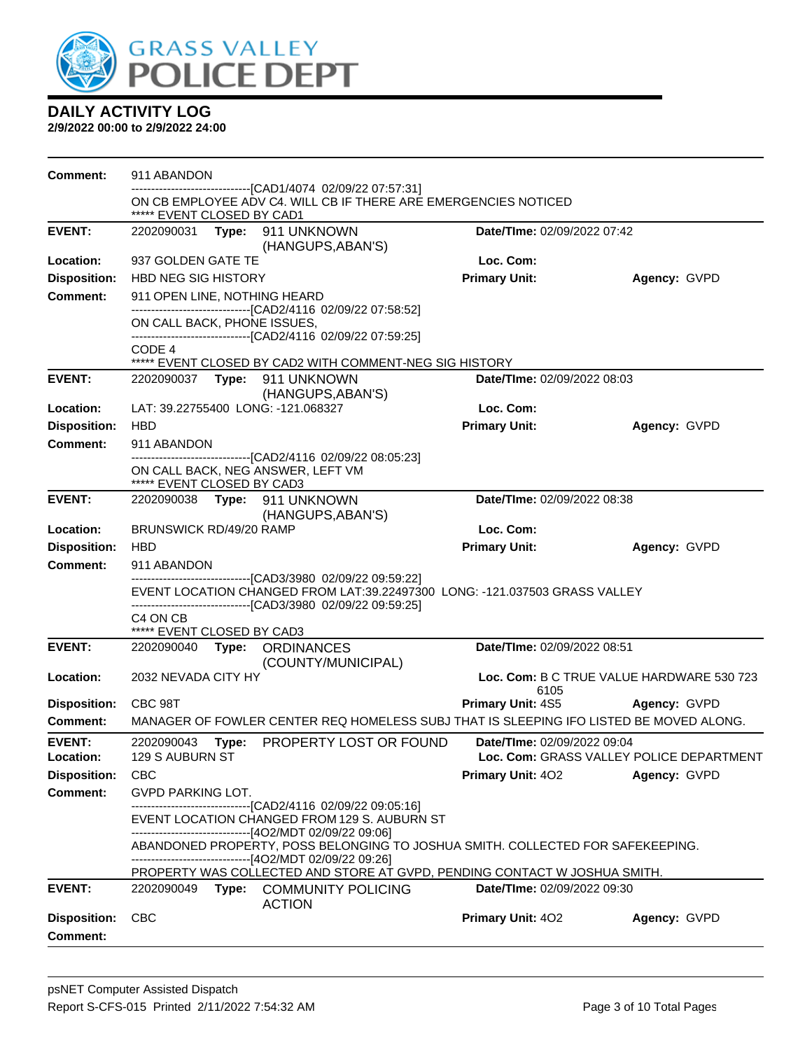

| Comment:            | 911 ABANDON                                                                      |  |                                                                                                                                          |                                    |                                           |
|---------------------|----------------------------------------------------------------------------------|--|------------------------------------------------------------------------------------------------------------------------------------------|------------------------------------|-------------------------------------------|
|                     | ***** EVENT CLOSED BY CAD1                                                       |  | ------------------------------[CAD1/4074 02/09/22 07:57:31]<br>ON CB EMPLOYEE ADV C4. WILL CB IF THERE ARE EMERGENCIES NOTICED           |                                    |                                           |
| <b>EVENT:</b>       | Date/TIme: 02/09/2022 07:42<br>2202090031 Type: 911 UNKNOWN<br>(HANGUPS, ABAN'S) |  |                                                                                                                                          |                                    |                                           |
| Location:           | 937 GOLDEN GATE TE                                                               |  |                                                                                                                                          | Loc. Com:                          |                                           |
| <b>Disposition:</b> | HBD NEG SIG HISTORY                                                              |  |                                                                                                                                          | <b>Primary Unit:</b>               | Agency: GVPD                              |
| <b>Comment:</b>     | 911 OPEN LINE, NOTHING HEARD                                                     |  |                                                                                                                                          |                                    |                                           |
|                     | ON CALL BACK, PHONE ISSUES,                                                      |  | -------------------------------[CAD2/4116 02/09/22 07:58:52]<br>-------------------------------[CAD2/4116 02/09/22 07:59:25]             |                                    |                                           |
|                     | CODE 4                                                                           |  |                                                                                                                                          |                                    |                                           |
|                     |                                                                                  |  | ***** EVENT CLOSED BY CAD2 WITH COMMENT-NEG SIG HISTORY                                                                                  |                                    |                                           |
| <b>EVENT:</b>       |                                                                                  |  | (HANGUPS, ABAN'S)                                                                                                                        | Date/TIme: 02/09/2022 08:03        |                                           |
| Location:           |                                                                                  |  | LAT: 39.22755400 LONG: -121.068327                                                                                                       | Loc. Com:                          |                                           |
| <b>Disposition:</b> | <b>HBD</b>                                                                       |  |                                                                                                                                          | <b>Primary Unit:</b>               | Agency: GVPD                              |
| <b>Comment:</b>     | 911 ABANDON                                                                      |  |                                                                                                                                          |                                    |                                           |
|                     | ***** EVENT CLOSED BY CAD3                                                       |  | -------------------------[CAD2/4116 02/09/22 08:05:23]<br>ON CALL BACK, NEG ANSWER, LEFT VM                                              |                                    |                                           |
| <b>EVENT:</b>       |                                                                                  |  | 2202090038 Type: 911 UNKNOWN                                                                                                             | Date/TIme: 02/09/2022 08:38        |                                           |
|                     |                                                                                  |  | (HANGUPS, ABAN'S)                                                                                                                        |                                    |                                           |
| Location:           | BRUNSWICK RD/49/20 RAMP                                                          |  |                                                                                                                                          | Loc. Com:                          |                                           |
| <b>Disposition:</b> | <b>HBD</b>                                                                       |  |                                                                                                                                          | <b>Primary Unit:</b>               | Agency: GVPD                              |
| <b>Comment:</b>     | 911 ABANDON                                                                      |  | -------------------------[CAD3/3980_02/09/22_09:59:22]                                                                                   |                                    |                                           |
|                     |                                                                                  |  | EVENT LOCATION CHANGED FROM LAT:39.22497300 LONG: -121.037503 GRASS VALLEY                                                               |                                    |                                           |
|                     |                                                                                  |  | -------------------------------[CAD3/3980_02/09/22_09:59:25]                                                                             |                                    |                                           |
|                     | C4 ON CB<br>***** EVENT CLOSED BY CAD3                                           |  |                                                                                                                                          |                                    |                                           |
| <b>EVENT:</b>       |                                                                                  |  | 2202090040 Type: ORDINANCES<br>(COUNTY/MUNICIPAL)                                                                                        | Date/TIme: 02/09/2022 08:51        |                                           |
| Location:           | 2032 NEVADA CITY HY                                                              |  |                                                                                                                                          | 6105                               | Loc. Com: B C TRUE VALUE HARDWARE 530 723 |
| <b>Disposition:</b> | CBC 98T                                                                          |  |                                                                                                                                          |                                    | Primary Unit: 4S5 Agency: GVPD            |
| <b>Comment:</b>     |                                                                                  |  | MANAGER OF FOWLER CENTER REQ HOMELESS SUBJ THAT IS SLEEPING IFO LISTED BE MOVED ALONG.                                                   |                                    |                                           |
| <b>EVENT:</b>       |                                                                                  |  | 2202090043 Type: PROPERTY LOST OR FOUND                                                                                                  | <b>Date/Time: 02/09/2022 09:04</b> |                                           |
| Location:           | 129 S AUBURN ST                                                                  |  |                                                                                                                                          |                                    | Loc. Com: GRASS VALLEY POLICE DEPARTMENT  |
| <b>Disposition:</b> | <b>CBC</b>                                                                       |  |                                                                                                                                          | <b>Primary Unit: 402</b>           | Agency: GVPD                              |
| <b>Comment:</b>     | <b>GVPD PARKING LOT.</b>                                                         |  | -------------------------------[CAD2/4116_02/09/22_09:05:16]                                                                             |                                    |                                           |
|                     |                                                                                  |  | EVENT LOCATION CHANGED FROM 129 S. AUBURN ST<br>-------------------------------[4O2/MDT 02/09/22 09:06]                                  |                                    |                                           |
|                     |                                                                                  |  | ABANDONED PROPERTY, POSS BELONGING TO JOSHUA SMITH. COLLECTED FOR SAFEKEEPING.<br>------------------------------[4O2/MDT 02/09/22 09:26] |                                    |                                           |
|                     |                                                                                  |  | PROPERTY WAS COLLECTED AND STORE AT GVPD, PENDING CONTACT W JOSHUA SMITH.                                                                |                                    |                                           |
| <b>EVENT:</b>       | 2202090049                                                                       |  | Type: COMMUNITY POLICING<br><b>ACTION</b>                                                                                                | Date/TIme: 02/09/2022 09:30        |                                           |
| <b>Disposition:</b> | <b>CBC</b>                                                                       |  |                                                                                                                                          | Primary Unit: 402                  | Agency: GVPD                              |
| <b>Comment:</b>     |                                                                                  |  |                                                                                                                                          |                                    |                                           |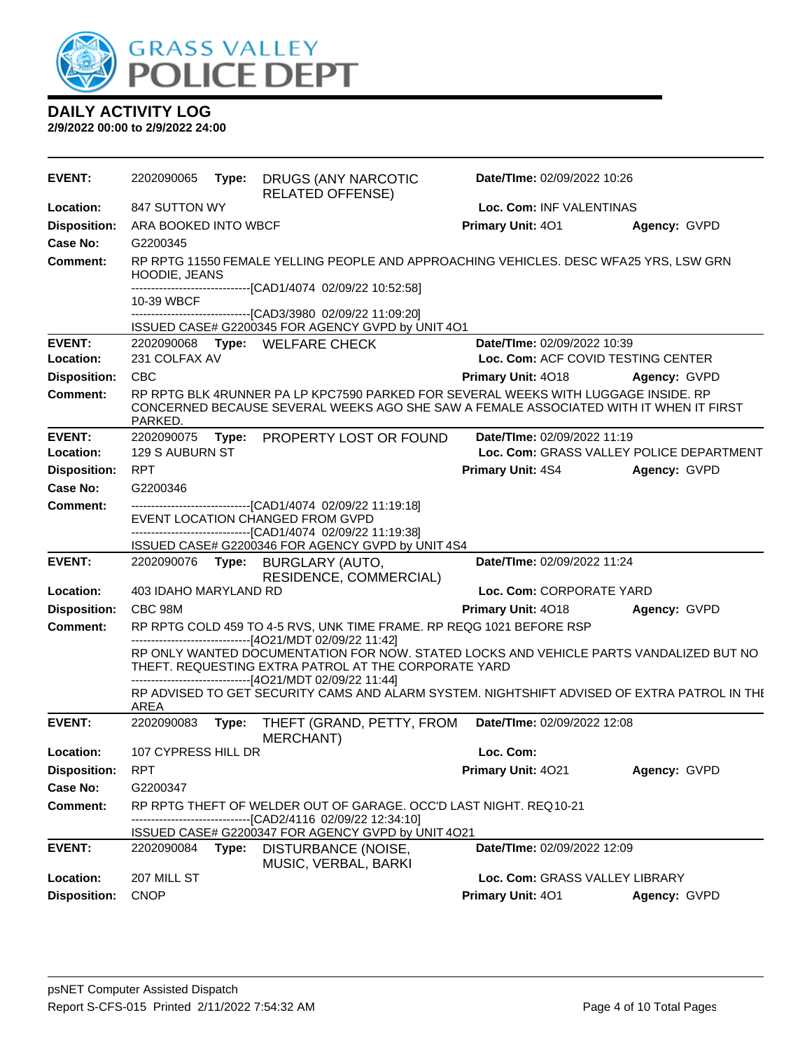

#### **DAILY ACTIVITY LOG 2/9/2022 00:00 to 2/9/2022 24:00**

| <b>EVENT:</b>       | 2202090065                                                                                             | Type: | DRUGS (ANY NARCOTIC<br><b>RELATED OFFENSE)</b>                                                                                                                                                      | Date/TIme: 02/09/2022 10:26        |                                          |  |
|---------------------|--------------------------------------------------------------------------------------------------------|-------|-----------------------------------------------------------------------------------------------------------------------------------------------------------------------------------------------------|------------------------------------|------------------------------------------|--|
| Location:           | 847 SUTTON WY                                                                                          |       |                                                                                                                                                                                                     | Loc. Com: INF VALENTINAS           |                                          |  |
| <b>Disposition:</b> | ARA BOOKED INTO WBCF                                                                                   |       |                                                                                                                                                                                                     | Primary Unit: 401                  | Agency: GVPD                             |  |
| Case No:            | G2200345                                                                                               |       |                                                                                                                                                                                                     |                                    |                                          |  |
| Comment:            | RP RPTG 11550 FEMALE YELLING PEOPLE AND APPROACHING VEHICLES. DESC WFA25 YRS, LSW GRN<br>HOODIE, JEANS |       |                                                                                                                                                                                                     |                                    |                                          |  |
|                     | 10-39 WBCF                                                                                             |       | -------------------------------[CAD1/4074_02/09/22 10:52:58]                                                                                                                                        |                                    |                                          |  |
|                     |                                                                                                        |       | -------------------------------[CAD3/3980_02/09/22_11:09:20]                                                                                                                                        |                                    |                                          |  |
|                     |                                                                                                        |       | ISSUED CASE# G2200345 FOR AGENCY GVPD by UNIT 4O1                                                                                                                                                   |                                    |                                          |  |
| <b>EVENT:</b>       | 231 COLFAX AV                                                                                          |       | 2202090068 Type: WELFARE CHECK                                                                                                                                                                      | Date/TIme: 02/09/2022 10:39        |                                          |  |
| Location:           |                                                                                                        |       |                                                                                                                                                                                                     | Loc. Com: ACF COVID TESTING CENTER |                                          |  |
| <b>Disposition:</b> | <b>CBC</b>                                                                                             |       |                                                                                                                                                                                                     | <b>Primary Unit: 4018</b>          | Agency: GVPD                             |  |
| <b>Comment:</b>     | PARKED.                                                                                                |       | RP RPTG BLK 4RUNNER PA LP KPC7590 PARKED FOR SEVERAL WEEKS WITH LUGGAGE INSIDE. RP<br>CONCERNED BECAUSE SEVERAL WEEKS AGO SHE SAW A FEMALE ASSOCIATED WITH IT WHEN IT FIRST                         |                                    |                                          |  |
| <b>EVENT:</b>       | 2202090075                                                                                             |       | Type: PROPERTY LOST OR FOUND                                                                                                                                                                        | Date/TIme: 02/09/2022 11:19        |                                          |  |
| Location:           | <b>129 S AUBURN ST</b>                                                                                 |       |                                                                                                                                                                                                     |                                    | Loc. Com: GRASS VALLEY POLICE DEPARTMENT |  |
| <b>Disposition:</b> | <b>RPT</b>                                                                                             |       |                                                                                                                                                                                                     | <b>Primary Unit: 4S4</b>           | Agency: GVPD                             |  |
| Case No:            | G2200346                                                                                               |       |                                                                                                                                                                                                     |                                    |                                          |  |
| <b>Comment:</b>     |                                                                                                        |       | ------------------------[CAD1/4074 02/09/22 11:19:18]<br>EVENT LOCATION CHANGED FROM GVPD                                                                                                           |                                    |                                          |  |
|                     |                                                                                                        |       | ------------------------[CAD1/4074_02/09/22 11:19:38]                                                                                                                                               |                                    |                                          |  |
|                     |                                                                                                        |       | ISSUED CASE# G2200346 FOR AGENCY GVPD by UNIT 4S4                                                                                                                                                   |                                    |                                          |  |
| <b>EVENT:</b>       | 2202090076 <b>Type:</b>                                                                                |       | BURGLARY (AUTO,                                                                                                                                                                                     | Date/TIme: 02/09/2022 11:24        |                                          |  |
| Location:           | 403 IDAHO MARYLAND RD                                                                                  |       | RESIDENCE, COMMERCIAL)                                                                                                                                                                              | Loc. Com: CORPORATE YARD           |                                          |  |
| <b>Disposition:</b> | CBC 98M                                                                                                |       |                                                                                                                                                                                                     | <b>Primary Unit: 4018</b>          | Agency: GVPD                             |  |
| <b>Comment:</b>     |                                                                                                        |       | RP RPTG COLD 459 TO 4-5 RVS, UNK TIME FRAME. RP REQG 1021 BEFORE RSP<br>------------------------------[4O21/MDT 02/09/22 11:42]                                                                     |                                    |                                          |  |
|                     |                                                                                                        |       | RP ONLY WANTED DOCUMENTATION FOR NOW. STATED LOCKS AND VEHICLE PARTS VANDALIZED BUT NO<br>THEFT. REQUESTING EXTRA PATROL AT THE CORPORATE YARD<br>------------------------[4O21/MDT 02/09/22 11:44] |                                    |                                          |  |
|                     | <b>AREA</b>                                                                                            |       | RP ADVISED TO GET SECURITY CAMS AND ALARM SYSTEM. NIGHTSHIFT ADVISED OF EXTRA PATROL IN THE                                                                                                         |                                    |                                          |  |
| <b>EVENT:</b>       | 2202090083                                                                                             | Type: | THEFT (GRAND, PETTY, FROM<br><b>MERCHANT</b> )                                                                                                                                                      | Date/TIme: 02/09/2022 12:08        |                                          |  |
| Location:           | 107 CYPRESS HILL DR                                                                                    |       |                                                                                                                                                                                                     | Loc. Com:                          |                                          |  |
| <b>Disposition:</b> | <b>RPT</b>                                                                                             |       |                                                                                                                                                                                                     | Primary Unit: 4021                 | Agency: GVPD                             |  |
| <b>Case No:</b>     | G2200347                                                                                               |       |                                                                                                                                                                                                     |                                    |                                          |  |
| <b>Comment:</b>     |                                                                                                        |       | RP RPTG THEFT OF WELDER OUT OF GARAGE. OCC'D LAST NIGHT. REQ10-21<br>-------------[CAD2/4116 02/09/22 12:34:10]                                                                                     |                                    |                                          |  |
|                     |                                                                                                        |       | ISSUED CASE# G2200347 FOR AGENCY GVPD by UNIT 4O21                                                                                                                                                  |                                    |                                          |  |
| <b>EVENT:</b>       | 2202090084                                                                                             | Type: | DISTURBANCE (NOISE,<br>MUSIC, VERBAL, BARKI                                                                                                                                                         | Date/TIme: 02/09/2022 12:09        |                                          |  |
| Location:           | 207 MILL ST                                                                                            |       |                                                                                                                                                                                                     | Loc. Com: GRASS VALLEY LIBRARY     |                                          |  |
| <b>Disposition:</b> | <b>CNOP</b>                                                                                            |       |                                                                                                                                                                                                     | Primary Unit: 401                  | Agency: GVPD                             |  |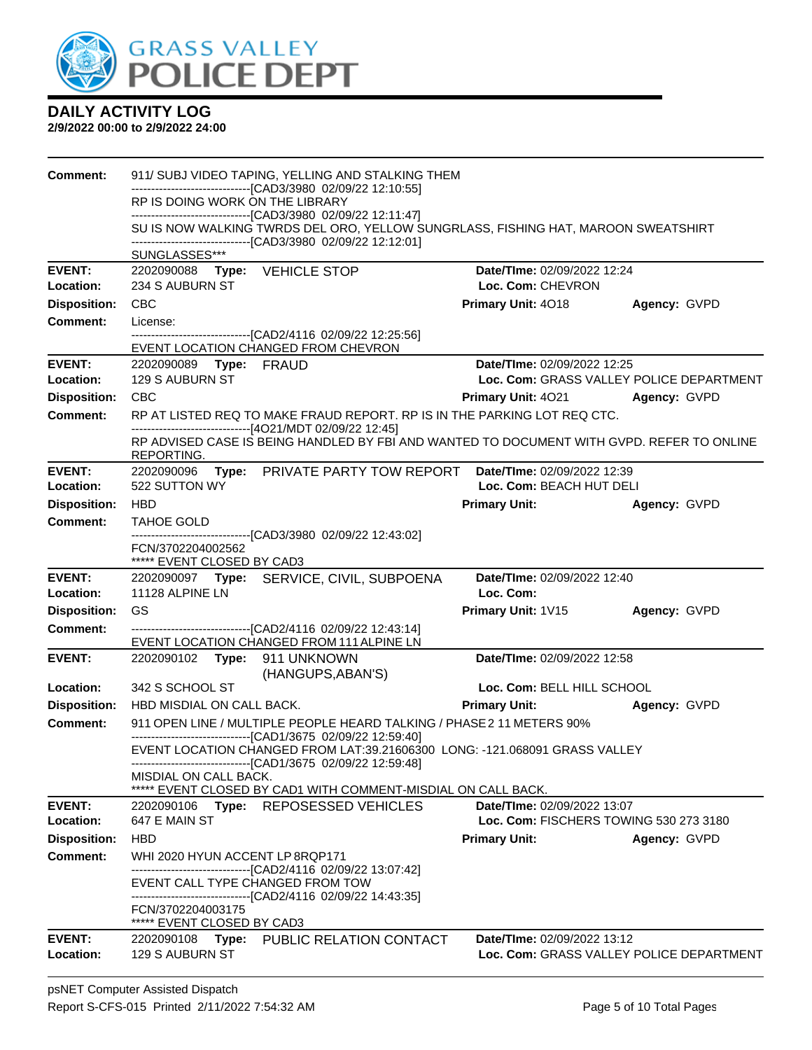

| Comment:            |                                                                                                                                                                                                            |                                                                                                                                                   |                                          |              |  |  |  |
|---------------------|------------------------------------------------------------------------------------------------------------------------------------------------------------------------------------------------------------|---------------------------------------------------------------------------------------------------------------------------------------------------|------------------------------------------|--------------|--|--|--|
|                     | RP IS DOING WORK ON THE LIBRARY                                                                                                                                                                            | -------------------------------[CAD3/3980_02/09/22 12:10:55]                                                                                      |                                          |              |  |  |  |
|                     |                                                                                                                                                                                                            | -------------------------------[CAD3/3980 02/09/22 12:11:47]                                                                                      |                                          |              |  |  |  |
|                     |                                                                                                                                                                                                            | SU IS NOW WALKING TWRDS DEL ORO, YELLOW SUNGRLASS, FISHING HAT, MAROON SWEATSHIRT<br>-------------------------------[CAD3/3980 02/09/22 12:12:01] |                                          |              |  |  |  |
|                     | SUNGLASSES***                                                                                                                                                                                              |                                                                                                                                                   |                                          |              |  |  |  |
| <b>EVENT:</b>       | 2202090088 Type: VEHICLE STOP                                                                                                                                                                              |                                                                                                                                                   | Date/TIme: 02/09/2022 12:24              |              |  |  |  |
| <b>Location:</b>    | 234 S AUBURN ST                                                                                                                                                                                            |                                                                                                                                                   | Loc. Com: CHEVRON                        |              |  |  |  |
| <b>Disposition:</b> | <b>CBC</b>                                                                                                                                                                                                 |                                                                                                                                                   | <b>Primary Unit: 4018</b>                | Agency: GVPD |  |  |  |
| <b>Comment:</b>     | License:                                                                                                                                                                                                   | -------------------------------[CAD2/4116 02/09/22 12:25:56]                                                                                      |                                          |              |  |  |  |
|                     |                                                                                                                                                                                                            | EVENT LOCATION CHANGED FROM CHEVRON                                                                                                               |                                          |              |  |  |  |
| <b>EVENT:</b>       | 2202090089 Type: FRAUD                                                                                                                                                                                     |                                                                                                                                                   | Date/TIme: 02/09/2022 12:25              |              |  |  |  |
| Location:           | 129 S AUBURN ST                                                                                                                                                                                            |                                                                                                                                                   | Loc. Com: GRASS VALLEY POLICE DEPARTMENT |              |  |  |  |
| <b>Disposition:</b> | <b>CBC</b>                                                                                                                                                                                                 |                                                                                                                                                   | <b>Primary Unit: 4021</b>                | Agency: GVPD |  |  |  |
| <b>Comment:</b>     |                                                                                                                                                                                                            | RP AT LISTED REQ TO MAKE FRAUD REPORT. RP IS IN THE PARKING LOT REQ CTC.<br>------------------------------[4O21/MDT 02/09/22 12:45]               |                                          |              |  |  |  |
|                     | REPORTING.                                                                                                                                                                                                 | RP ADVISED CASE IS BEING HANDLED BY FBI AND WANTED TO DOCUMENT WITH GVPD. REFER TO ONLINE                                                         |                                          |              |  |  |  |
| <b>EVENT:</b>       |                                                                                                                                                                                                            | 2202090096 Type: PRIVATE PARTY TOW REPORT                                                                                                         | Date/TIme: 02/09/2022 12:39              |              |  |  |  |
| <b>Location:</b>    | 522 SUTTON WY                                                                                                                                                                                              |                                                                                                                                                   | Loc. Com: BEACH HUT DELI                 |              |  |  |  |
| <b>Disposition:</b> | <b>HBD</b>                                                                                                                                                                                                 |                                                                                                                                                   | <b>Primary Unit:</b>                     | Agency: GVPD |  |  |  |
| <b>Comment:</b>     | TAHOE GOLD                                                                                                                                                                                                 | ------------------------[CAD3/3980 02/09/22 12:43:02]                                                                                             |                                          |              |  |  |  |
|                     | FCN/3702204002562<br>***** EVENT CLOSED BY CAD3                                                                                                                                                            |                                                                                                                                                   |                                          |              |  |  |  |
| <b>EVENT:</b>       |                                                                                                                                                                                                            | 2202090097 Type: SERVICE, CIVIL, SUBPOENA                                                                                                         | Date/TIme: 02/09/2022 12:40              |              |  |  |  |
| Location:           | 11128 ALPINE LN                                                                                                                                                                                            |                                                                                                                                                   | Loc. Com:                                |              |  |  |  |
| <b>Disposition:</b> | GS                                                                                                                                                                                                         |                                                                                                                                                   | Primary Unit: 1V15                       | Agency: GVPD |  |  |  |
| <b>Comment:</b>     |                                                                                                                                                                                                            | -------------------------------[CAD2/4116 02/09/22 12:43:14]<br>EVENT LOCATION CHANGED FROM 111 ALPINE LN                                         |                                          |              |  |  |  |
| <b>EVENT:</b>       | 2202090102 Type: 911 UNKNOWN                                                                                                                                                                               | (HANGUPS, ABAN'S)                                                                                                                                 | Date/TIme: 02/09/2022 12:58              |              |  |  |  |
| Location:           | 342 S SCHOOL ST                                                                                                                                                                                            |                                                                                                                                                   | Loc. Com: BELL HILL SCHOOL               |              |  |  |  |
| <b>Disposition:</b> | HBD MISDIAL ON CALL BACK.                                                                                                                                                                                  |                                                                                                                                                   | <b>Primary Unit:</b>                     | Agency: GVPD |  |  |  |
| <b>Comment:</b>     |                                                                                                                                                                                                            | 911 OPEN LINE / MULTIPLE PEOPLE HEARD TALKING / PHASE 2 11 METERS 90%                                                                             |                                          |              |  |  |  |
|                     | -------------------------------[CAD1/3675 02/09/22 12:59:40]<br>EVENT LOCATION CHANGED FROM LAT:39.21606300 LONG: -121.068091 GRASS VALLEY<br>-------------------------------[CAD1/3675 02/09/22 12:59:48] |                                                                                                                                                   |                                          |              |  |  |  |
|                     | MISDIAL ON CALL BACK.                                                                                                                                                                                      |                                                                                                                                                   |                                          |              |  |  |  |
| <b>EVENT:</b>       |                                                                                                                                                                                                            | ***** EVENT CLOSED BY CAD1 WITH COMMENT-MISDIAL ON CALL BACK.                                                                                     | Date/TIme: 02/09/2022 13:07              |              |  |  |  |
| Location:           | 647 E MAIN ST                                                                                                                                                                                              | 2202090106 Type: REPOSESSED VEHICLES                                                                                                              | Loc. Com: FISCHERS TOWING 530 273 3180   |              |  |  |  |
| <b>Disposition:</b> | <b>HBD</b>                                                                                                                                                                                                 |                                                                                                                                                   | <b>Primary Unit:</b>                     | Agency: GVPD |  |  |  |
| <b>Comment:</b>     | WHI 2020 HYUN ACCENT LP 8RQP171                                                                                                                                                                            |                                                                                                                                                   |                                          |              |  |  |  |
|                     |                                                                                                                                                                                                            | --------------------------------[CAD2/4116_02/09/22_13:07:42]                                                                                     |                                          |              |  |  |  |
|                     |                                                                                                                                                                                                            | EVENT CALL TYPE CHANGED FROM TOW<br>--------------------------------[CAD2/4116_02/09/22_14:43:35]                                                 |                                          |              |  |  |  |
|                     | FCN/3702204003175                                                                                                                                                                                          |                                                                                                                                                   |                                          |              |  |  |  |
|                     | ***** EVENT CLOSED BY CAD3                                                                                                                                                                                 |                                                                                                                                                   |                                          |              |  |  |  |
| <b>EVENT:</b>       |                                                                                                                                                                                                            | 2202090108 Type: PUBLIC RELATION CONTACT                                                                                                          | Date/TIme: 02/09/2022 13:12              |              |  |  |  |
| Location:           | 129 S AUBURN ST                                                                                                                                                                                            |                                                                                                                                                   | Loc. Com: GRASS VALLEY POLICE DEPARTMENT |              |  |  |  |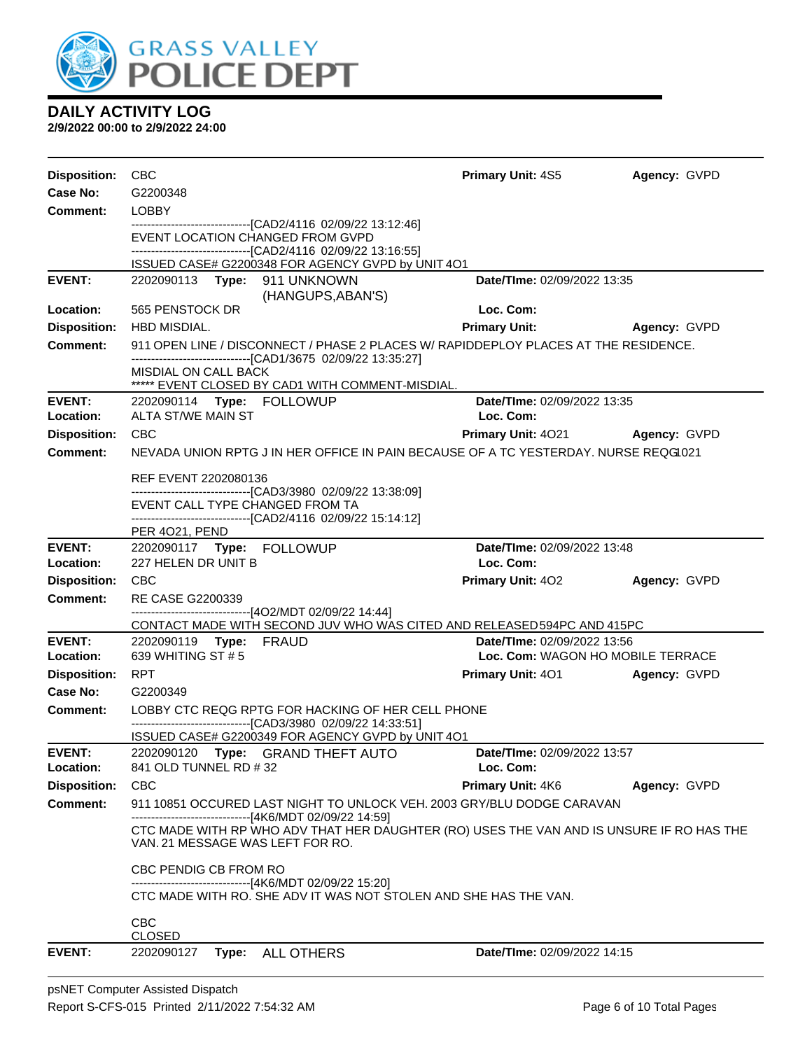

| Disposition: CBC           |                                                  |                                                                                                                             | <b>Primary Unit: 4S5</b>                 | Agency: GVPD |
|----------------------------|--------------------------------------------------|-----------------------------------------------------------------------------------------------------------------------------|------------------------------------------|--------------|
| Case No:                   | G2200348                                         |                                                                                                                             |                                          |              |
| Comment:                   | <b>LOBBY</b>                                     |                                                                                                                             |                                          |              |
|                            | EVENT LOCATION CHANGED FROM GVPD                 | -------------------------------[CAD2/4116 02/09/22 13:12:46]                                                                |                                          |              |
|                            |                                                  | ------------------------------[CAD2/4116 02/09/22 13:16:55]<br>ISSUED CASE# G2200348 FOR AGENCY GVPD by UNIT 4O1            |                                          |              |
| <b>EVENT:</b>              | 2202090113 Type: 911 UNKNOWN                     |                                                                                                                             | Date/TIme: 02/09/2022 13:35              |              |
|                            |                                                  | (HANGUPS, ABAN'S)                                                                                                           |                                          |              |
| Location:                  | 565 PENSTOCK DR                                  |                                                                                                                             | Loc. Com:                                |              |
| <b>Disposition:</b>        | HBD MISDIAL.                                     |                                                                                                                             | <b>Primary Unit:</b>                     | Agency: GVPD |
| <b>Comment:</b>            |                                                  | 911 OPEN LINE / DISCONNECT / PHASE 2 PLACES W/ RAPIDDEPLOY PLACES AT THE RESIDENCE.                                         |                                          |              |
|                            | MISDIAL ON CALL BACK                             | -------------------------------[CAD1/3675 02/09/22 13:35:27]<br>***** EVENT CLOSED BY CAD1 WITH COMMENT-MISDIAL.            |                                          |              |
| <b>EVENT:</b>              | 2202090114 Type: FOLLOWUP                        |                                                                                                                             | Date/TIme: 02/09/2022 13:35              |              |
| Location:                  | ALTA ST/WE MAIN ST                               |                                                                                                                             | Loc. Com:                                |              |
| <b>Disposition:</b>        | CBC                                              |                                                                                                                             | <b>Primary Unit: 4021</b>                | Agency: GVPD |
| Comment:                   |                                                  | NEVADA UNION RPTG J IN HER OFFICE IN PAIN BECAUSE OF A TC YESTERDAY. NURSE REQG1021                                         |                                          |              |
|                            |                                                  |                                                                                                                             |                                          |              |
|                            | REF EVENT 2202080136                             | -------------------------------[CAD3/3980_02/09/22 13:38:09]                                                                |                                          |              |
|                            | EVENT CALL TYPE CHANGED FROM TA                  |                                                                                                                             |                                          |              |
|                            |                                                  | -------------------------------[CAD2/4116 02/09/22 15:14:12]                                                                |                                          |              |
|                            | PER 4021, PEND                                   |                                                                                                                             |                                          |              |
| <b>EVENT:</b><br>Location: | 2202090117 Type: FOLLOWUP<br>227 HELEN DR UNIT B |                                                                                                                             | Date/TIme: 02/09/2022 13:48<br>Loc. Com: |              |
| <b>Disposition:</b>        | <b>CBC</b>                                       |                                                                                                                             | <b>Primary Unit: 402</b>                 | Agency: GVPD |
| <b>Comment:</b>            | RE CASE G2200339                                 |                                                                                                                             |                                          |              |
|                            |                                                  | -------------------------------[4O2/MDT 02/09/22 14:44]                                                                     |                                          |              |
|                            |                                                  | CONTACT MADE WITH SECOND JUV WHO WAS CITED AND RELEASED594PC AND 415PC                                                      |                                          |              |
| <b>EVENT:</b>              | 2202090119 Type: FRAUD                           |                                                                                                                             | Date/TIme: 02/09/2022 13:56              |              |
| Location:                  | 639 WHITING ST # 5                               |                                                                                                                             | Loc. Com: WAGON HO MOBILE TERRACE        |              |
| <b>Disposition:</b>        | <b>RPT</b>                                       |                                                                                                                             | <b>Primary Unit: 401 Agency: GVPD</b>    |              |
| Case No:                   | G2200349                                         |                                                                                                                             |                                          |              |
| <b>Comment:</b>            |                                                  | LOBBY CTC REQG RPTG FOR HACKING OF HER CELL PHONE                                                                           |                                          |              |
|                            |                                                  | -------------------------------[CAD3/3980_02/09/22 14:33:51]<br>ISSUED CASE# G2200349 FOR AGENCY GVPD by UNIT 4O1           |                                          |              |
| <b>EVENT:</b>              |                                                  | 2202090120 Type: GRAND THEFT AUTO                                                                                           | <b>Date/Time: 02/09/2022 13:57</b>       |              |
| Location:                  | 841 OLD TUNNEL RD # 32                           |                                                                                                                             | Loc. Com:                                |              |
| <b>Disposition:</b>        | <b>CBC</b>                                       |                                                                                                                             | <b>Primary Unit: 4K6</b>                 | Agency: GVPD |
| <b>Comment:</b>            |                                                  | 911 10851 OCCURED LAST NIGHT TO UNLOCK VEH. 2003 GRY/BLU DODGE CARAVAN                                                      |                                          |              |
|                            |                                                  | -------------------------------[4K6/MDT 02/09/22 14:59]                                                                     |                                          |              |
|                            | VAN. 21 MESSAGE WAS LEFT FOR RO.                 | CTC MADE WITH RP WHO ADV THAT HER DAUGHTER (RO) USES THE VAN AND IS UNSURE IF RO HAS THE                                    |                                          |              |
|                            |                                                  |                                                                                                                             |                                          |              |
|                            | CBC PENDIG CB FROM RO                            |                                                                                                                             |                                          |              |
|                            |                                                  | -------------------------------[4K6/MDT 02/09/22 15:20]<br>CTC MADE WITH RO. SHE ADV IT WAS NOT STOLEN AND SHE HAS THE VAN. |                                          |              |
|                            |                                                  |                                                                                                                             |                                          |              |
|                            | <b>CBC</b>                                       |                                                                                                                             |                                          |              |
|                            | <b>CLOSED</b>                                    |                                                                                                                             |                                          |              |
| <b>EVENT:</b>              | 2202090127                                       | Type: ALL OTHERS                                                                                                            | Date/TIme: 02/09/2022 14:15              |              |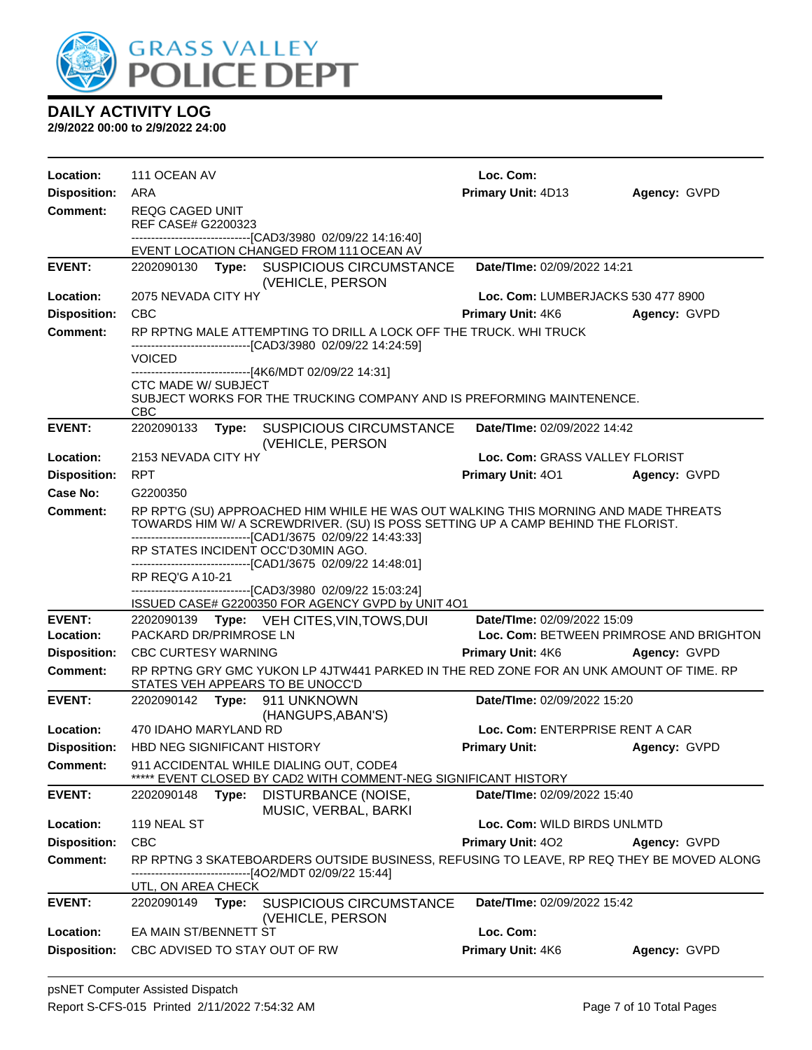

| Location:           | 111 OCEAN AV                                 |                                                                                                                                                                                                                                         | Loc. Com:                               |              |
|---------------------|----------------------------------------------|-----------------------------------------------------------------------------------------------------------------------------------------------------------------------------------------------------------------------------------------|-----------------------------------------|--------------|
| <b>Disposition:</b> | ARA                                          |                                                                                                                                                                                                                                         | Primary Unit: 4D13                      | Agency: GVPD |
| <b>Comment:</b>     | <b>REQG CAGED UNIT</b><br>REF CASE# G2200323 |                                                                                                                                                                                                                                         |                                         |              |
|                     |                                              | ---------------------------[CAD3/3980_02/09/22_14:16:40]<br>EVENT LOCATION CHANGED FROM 111 OCEAN AV                                                                                                                                    |                                         |              |
| <b>EVENT:</b>       |                                              | 2202090130 Type: SUSPICIOUS CIRCUMSTANCE<br>(VEHICLE, PERSON                                                                                                                                                                            | Date/TIme: 02/09/2022 14:21             |              |
| Location:           | 2075 NEVADA CITY HY                          |                                                                                                                                                                                                                                         | Loc. Com: LUMBERJACKS 530 477 8900      |              |
| <b>Disposition:</b> | <b>CBC</b>                                   |                                                                                                                                                                                                                                         | Primary Unit: 4K6                       | Agency: GVPD |
| <b>Comment:</b>     |                                              | RP RPTNG MALE ATTEMPTING TO DRILL A LOCK OFF THE TRUCK. WHI TRUCK                                                                                                                                                                       |                                         |              |
|                     | <b>VOICED</b>                                | ----------------------[CAD3/3980_02/09/22 14:24:59]<br>--------------------[4K6/MDT 02/09/22 14:31]                                                                                                                                     |                                         |              |
|                     | <b>CTC MADE W/ SUBJECT</b><br><b>CBC</b>     | SUBJECT WORKS FOR THE TRUCKING COMPANY AND IS PREFORMING MAINTENENCE.                                                                                                                                                                   |                                         |              |
| <b>EVENT:</b>       | 2202090133                                   | Type: SUSPICIOUS CIRCUMSTANCE<br>(VEHICLE, PERSON                                                                                                                                                                                       | <b>Date/TIme: 02/09/2022 14:42</b>      |              |
| Location:           | 2153 NEVADA CITY HY                          |                                                                                                                                                                                                                                         | Loc. Com: GRASS VALLEY FLORIST          |              |
| <b>Disposition:</b> | <b>RPT</b>                                   |                                                                                                                                                                                                                                         | <b>Primary Unit: 401</b>                | Agency: GVPD |
| Case No:            | G2200350                                     |                                                                                                                                                                                                                                         |                                         |              |
| Comment:            |                                              | RP RPT'G (SU) APPROACHED HIM WHILE HE WAS OUT WALKING THIS MORNING AND MADE THREATS<br>TOWARDS HIM W/ A SCREWDRIVER. (SU) IS POSS SETTING UP A CAMP BEHIND THE FLORIST.<br>-------------------------------[CAD1/3675_02/09/22_14:43:33] |                                         |              |
|                     | RP STATES INCIDENT OCC'D30MIN AGO.           |                                                                                                                                                                                                                                         |                                         |              |
|                     | RP REQ'G A 10-21                             | ------------------------[CAD1/3675_02/09/22 14:48:01]                                                                                                                                                                                   |                                         |              |
|                     |                                              | -------------------------------[CAD3/3980_02/09/22 15:03:24]<br>ISSUED CASE# G2200350 FOR AGENCY GVPD by UNIT 4O1                                                                                                                       |                                         |              |
| <b>EVENT:</b>       |                                              | 2202090139 Type: VEH CITES, VIN, TOWS, DUI                                                                                                                                                                                              | Date/TIme: 02/09/2022 15:09             |              |
| Location:           | PACKARD DR/PRIMROSE LN                       |                                                                                                                                                                                                                                         | Loc. Com: BETWEEN PRIMROSE AND BRIGHTON |              |
| <b>Disposition:</b> | <b>CBC CURTESY WARNING</b>                   |                                                                                                                                                                                                                                         | <b>Primary Unit: 4K6 Agency: GVPD</b>   |              |
| <b>Comment:</b>     | STATES VEH APPEARS TO BE UNOCC'D             | RP RPTNG GRY GMC YUKON LP 4JTW441 PARKED IN THE RED ZONE FOR AN UNK AMOUNT OF TIME. RP                                                                                                                                                  |                                         |              |
| <b>EVENT:</b>       | 2202090142                                   | Type: 911 UNKNOWN<br>(HANGUPS, ABAN'S)                                                                                                                                                                                                  | Date/TIme: 02/09/2022 15:20             |              |
| Location:           | 470 IDAHO MARYLAND RD                        |                                                                                                                                                                                                                                         | Loc. Com: ENTERPRISE RENT A CAR         |              |
| <b>Disposition:</b> | HBD NEG SIGNIFICANT HISTORY                  |                                                                                                                                                                                                                                         | <b>Primary Unit:</b>                    | Agency: GVPD |
| <b>Comment:</b>     |                                              | 911 ACCIDENTAL WHILE DIALING OUT, CODE4<br>EVENT CLOSED BY CAD2 WITH COMMENT-NEG SIGNIFICANT HISTORY                                                                                                                                    |                                         |              |
| <b>EVENT:</b>       | 2202090148<br>Type:                          | DISTURBANCE (NOISE,<br>MUSIC, VERBAL, BARKI                                                                                                                                                                                             | Date/TIme: 02/09/2022 15:40             |              |
| Location:           | 119 NEAL ST                                  |                                                                                                                                                                                                                                         | Loc. Com: WILD BIRDS UNLMTD             |              |
| <b>Disposition:</b> | <b>CBC</b>                                   |                                                                                                                                                                                                                                         | Primary Unit: 402                       | Agency: GVPD |
| <b>Comment:</b>     |                                              | RP RPTNG 3 SKATEBOARDERS OUTSIDE BUSINESS, REFUSING TO LEAVE, RP REQ THEY BE MOVED ALONG<br>------------------[4O2/MDT 02/09/22 15:44]                                                                                                  |                                         |              |
|                     | <u>UTL, ON AREA CHECK</u>                    |                                                                                                                                                                                                                                         |                                         |              |
| <b>EVENT:</b>       | 2202090149<br>Type:                          | SUSPICIOUS CIRCUMSTANCE<br>(VEHICLE, PERSON                                                                                                                                                                                             | <b>Date/TIme: 02/09/2022 15:42</b>      |              |
| Location:           | EA MAIN ST/BENNETT ST                        |                                                                                                                                                                                                                                         | Loc. Com:                               |              |
| <b>Disposition:</b> | CBC ADVISED TO STAY OUT OF RW                |                                                                                                                                                                                                                                         | Primary Unit: 4K6                       | Agency: GVPD |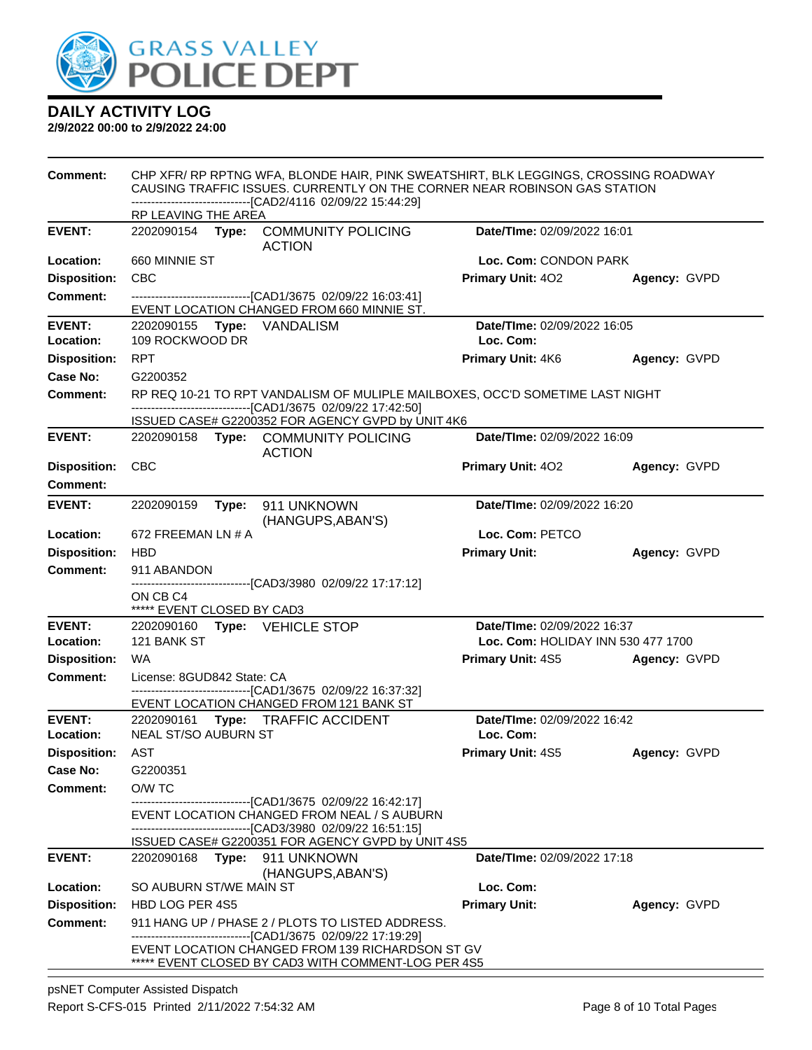

| <b>Comment:</b>                 | CHP XFR/ RP RPTNG WFA, BLONDE HAIR, PINK SWEATSHIRT, BLK LEGGINGS, CROSSING ROADWAY<br>CAUSING TRAFFIC ISSUES. CURRENTLY ON THE CORNER NEAR ROBINSON GAS STATION<br>-------------------------------[CAD2/4116 02/09/22 15:44:29] |                                                                                                             |                                    |              |  |
|---------------------------------|----------------------------------------------------------------------------------------------------------------------------------------------------------------------------------------------------------------------------------|-------------------------------------------------------------------------------------------------------------|------------------------------------|--------------|--|
|                                 | RP LEAVING THE AREA                                                                                                                                                                                                              |                                                                                                             |                                    |              |  |
| <b>EVENT:</b>                   |                                                                                                                                                                                                                                  | 2202090154 Type: COMMUNITY POLICING<br><b>ACTION</b>                                                        | Date/TIme: 02/09/2022 16:01        |              |  |
| Location:                       | 660 MINNIE ST                                                                                                                                                                                                                    |                                                                                                             | Loc. Com: CONDON PARK              |              |  |
| <b>Disposition:</b>             | <b>CBC</b>                                                                                                                                                                                                                       |                                                                                                             | <b>Primary Unit: 402</b>           | Agency: GVPD |  |
| <b>Comment:</b>                 |                                                                                                                                                                                                                                  | -------------------------------[CAD1/3675 02/09/22 16:03:41]                                                |                                    |              |  |
| <b>EVENT:</b>                   |                                                                                                                                                                                                                                  | EVENT LOCATION CHANGED FROM 660 MINNIE ST.                                                                  | Date/TIme: 02/09/2022 16:05        |              |  |
| Location:                       | 2202090155 Type: VANDALISM<br>109 ROCKWOOD DR                                                                                                                                                                                    |                                                                                                             | Loc. Com:                          |              |  |
| <b>Disposition:</b>             | <b>RPT</b>                                                                                                                                                                                                                       |                                                                                                             | Primary Unit: 4K6                  | Agency: GVPD |  |
| Case No:                        | G2200352                                                                                                                                                                                                                         |                                                                                                             |                                    |              |  |
| <b>Comment:</b>                 |                                                                                                                                                                                                                                  | RP REQ 10-21 TO RPT VANDALISM OF MULIPLE MAILBOXES, OCC'D SOMETIME LAST NIGHT                               |                                    |              |  |
|                                 |                                                                                                                                                                                                                                  | -------------------------------[CAD1/3675 02/09/22 17:42:50]                                                |                                    |              |  |
| <b>EVENT:</b>                   |                                                                                                                                                                                                                                  | ISSUED CASE# G2200352 FOR AGENCY GVPD by UNIT 4K6                                                           | Date/TIme: 02/09/2022 16:09        |              |  |
|                                 |                                                                                                                                                                                                                                  | 2202090158 Type: COMMUNITY POLICING<br><b>ACTION</b>                                                        |                                    |              |  |
| <b>Disposition:</b>             | <b>CBC</b>                                                                                                                                                                                                                       |                                                                                                             | <b>Primary Unit: 402</b>           | Agency: GVPD |  |
| Comment:                        |                                                                                                                                                                                                                                  |                                                                                                             |                                    |              |  |
| <b>EVENT:</b>                   | Date/TIme: 02/09/2022 16:20<br>2202090159<br>Type:<br>911 UNKNOWN<br>(HANGUPS, ABAN'S)                                                                                                                                           |                                                                                                             |                                    |              |  |
| Location:                       | 672 FREEMAN LN # A                                                                                                                                                                                                               |                                                                                                             | Loc. Com: PETCO                    |              |  |
| <b>Disposition:</b>             | <b>HBD</b>                                                                                                                                                                                                                       |                                                                                                             | <b>Primary Unit:</b>               | Agency: GVPD |  |
| <b>Comment:</b>                 | 911 ABANDON                                                                                                                                                                                                                      |                                                                                                             |                                    |              |  |
|                                 | ON CB C4<br>***** EVENT CLOSED BY CAD3                                                                                                                                                                                           | ------------------------------[CAD3/3980 02/09/22 17:17:12]                                                 |                                    |              |  |
| <b>EVENT:</b>                   | 2202090160 Type: VEHICLE STOP                                                                                                                                                                                                    |                                                                                                             | Date/TIme: 02/09/2022 16:37        |              |  |
| Location:                       | 121 BANK ST                                                                                                                                                                                                                      |                                                                                                             | Loc. Com: HOLIDAY INN 530 477 1700 |              |  |
| <b>Disposition:</b>             | WA.                                                                                                                                                                                                                              |                                                                                                             | <b>Primary Unit: 4S5</b>           | Agency: GVPD |  |
| <b>Comment:</b>                 | License: 8GUD842 State: CA                                                                                                                                                                                                       | -------------------------------[CAD1/3675 02/09/22 16:37:32]                                                |                                    |              |  |
|                                 |                                                                                                                                                                                                                                  | EVENT LOCATION CHANGED FROM 121 BANK ST                                                                     |                                    |              |  |
| <b>EVENT:</b>                   |                                                                                                                                                                                                                                  | 2202090161 Type: TRAFFIC ACCIDENT                                                                           | Date/TIme: 02/09/2022 16:42        |              |  |
| Location:                       | <b>NEAL ST/SO AUBURN ST</b>                                                                                                                                                                                                      |                                                                                                             | Loc. Com:                          |              |  |
| <b>Disposition:</b><br>Case No: | AST<br>G2200351                                                                                                                                                                                                                  |                                                                                                             | <b>Primary Unit: 4S5</b>           | Agency: GVPD |  |
| Comment:                        | O/W TC                                                                                                                                                                                                                           |                                                                                                             |                                    |              |  |
|                                 |                                                                                                                                                                                                                                  | ------------------------------[CAD1/3675_02/09/22 16:42:17]                                                 |                                    |              |  |
|                                 |                                                                                                                                                                                                                                  | EVENT LOCATION CHANGED FROM NEAL / S AUBURN<br>-------------------------------[CAD3/3980_02/09/22 16:51:15] |                                    |              |  |
|                                 |                                                                                                                                                                                                                                  | ISSUED CASE# G2200351 FOR AGENCY GVPD by UNIT 4S5                                                           |                                    |              |  |
| <b>EVENT:</b>                   | 2202090168<br>Type:                                                                                                                                                                                                              | 911 UNKNOWN                                                                                                 | <b>Date/TIme: 02/09/2022 17:18</b> |              |  |
|                                 |                                                                                                                                                                                                                                  | (HANGUPS, ABAN'S)                                                                                           |                                    |              |  |
| Location:                       | SO AUBURN ST/WE MAIN ST                                                                                                                                                                                                          |                                                                                                             | Loc. Com:                          |              |  |
| <b>Disposition:</b>             | HBD LOG PER 4S5                                                                                                                                                                                                                  |                                                                                                             | <b>Primary Unit:</b>               | Agency: GVPD |  |
| <b>Comment:</b>                 |                                                                                                                                                                                                                                  | 911 HANG UP / PHASE 2 / PLOTS TO LISTED ADDRESS.                                                            |                                    |              |  |
|                                 | -------------------------------[CAD1/3675 02/09/22 17:19:29]<br>EVENT LOCATION CHANGED FROM 139 RICHARDSON ST GV<br>***** EVENT CLOSED BY CAD3 WITH COMMENT-LOG PER 4S5                                                          |                                                                                                             |                                    |              |  |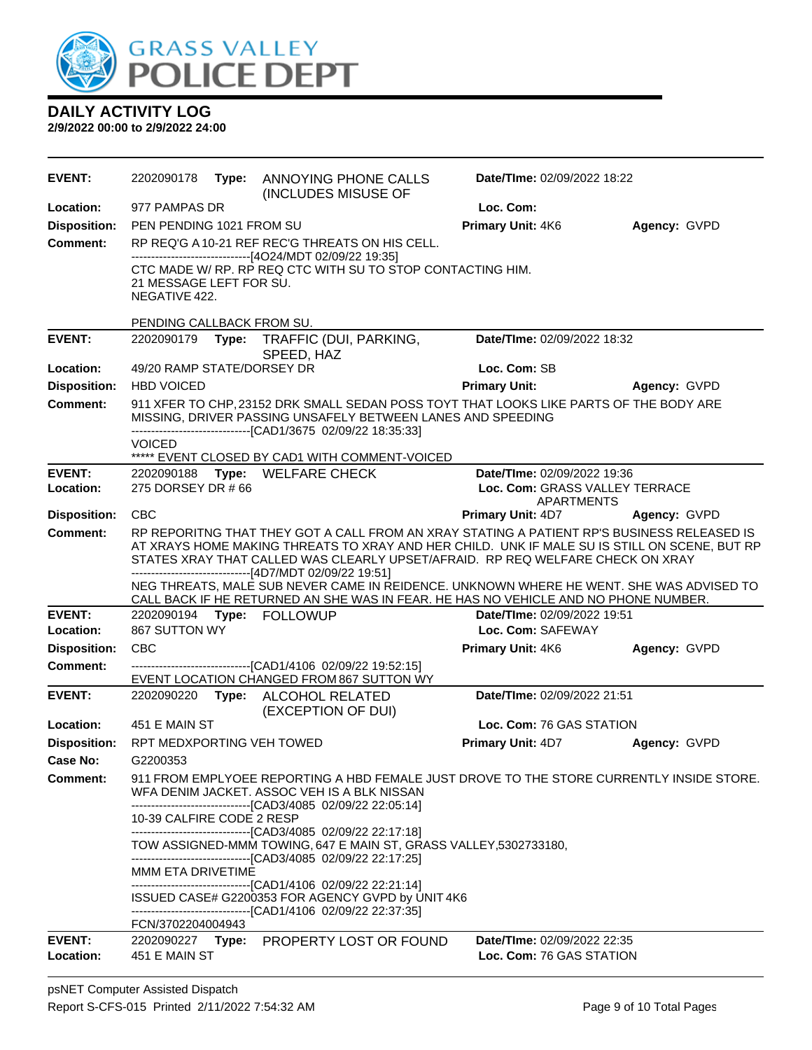

| <b>EVENT:</b>       | 2202090178                               | Type: | ANNOYING PHONE CALLS<br>(INCLUDES MISUSE OF                                                                                                                                                                            | Date/TIme: 02/09/2022 18:22    |              |
|---------------------|------------------------------------------|-------|------------------------------------------------------------------------------------------------------------------------------------------------------------------------------------------------------------------------|--------------------------------|--------------|
| Location:           | 977 PAMPAS DR                            |       |                                                                                                                                                                                                                        | Loc. Com:                      |              |
| <b>Disposition:</b> | PEN PENDING 1021 FROM SU                 |       |                                                                                                                                                                                                                        | Primary Unit: 4K6              | Agency: GVPD |
| <b>Comment:</b>     |                                          |       | RP REQ'G A 10-21 REF REC'G THREATS ON HIS CELL.                                                                                                                                                                        |                                |              |
|                     | 21 MESSAGE LEFT FOR SU.<br>NEGATIVE 422. |       | --------------------------------[4O24/MDT 02/09/22 19:35]<br>CTC MADE W/ RP. RP REQ CTC WITH SU TO STOP CONTACTING HIM.                                                                                                |                                |              |
|                     | PENDING CALLBACK FROM SU.                |       |                                                                                                                                                                                                                        |                                |              |
| <b>EVENT:</b>       | 2202090179                               | Type: | TRAFFIC (DUI, PARKING,<br>SPEED, HAZ                                                                                                                                                                                   | Date/TIme: 02/09/2022 18:32    |              |
| Location:           | 49/20 RAMP STATE/DORSEY DR               |       |                                                                                                                                                                                                                        | Loc. Com: SB                   |              |
| <b>Disposition:</b> | <b>HBD VOICED</b>                        |       |                                                                                                                                                                                                                        | <b>Primary Unit:</b>           | Agency: GVPD |
| <b>Comment:</b>     |                                          |       | 911 XFER TO CHP, 23152 DRK SMALL SEDAN POSS TOYT THAT LOOKS LIKE PARTS OF THE BODY ARE<br>MISSING, DRIVER PASSING UNSAFELY BETWEEN LANES AND SPEEDING<br>--------------------------------[CAD1/3675 02/09/22 18:35:33] |                                |              |
|                     | <b>VOICED</b>                            |       |                                                                                                                                                                                                                        |                                |              |
| <b>EVENT:</b>       |                                          |       | ***** EVENT CLOSED BY CAD1 WITH COMMENT-VOICED<br>2202090188 Type: WELFARE CHECK                                                                                                                                       | Date/TIme: 02/09/2022 19:36    |              |
| Location:           | 275 DORSEY DR #66                        |       |                                                                                                                                                                                                                        | Loc. Com: GRASS VALLEY TERRACE |              |
|                     |                                          |       |                                                                                                                                                                                                                        | <b>APARTMENTS</b>              |              |
| <b>Disposition:</b> | CBC                                      |       |                                                                                                                                                                                                                        | <b>Primary Unit: 4D7</b>       | Agency: GVPD |
| Comment:            |                                          |       | RP REPORITNG THAT THEY GOT A CALL FROM AN XRAY STATING A PATIENT RP'S BUSINESS RELEASED IS                                                                                                                             |                                |              |
|                     |                                          |       | AT XRAYS HOME MAKING THREATS TO XRAY AND HER CHILD. UNK IF MALE SU IS STILL ON SCENE, BUT RP<br>STATES XRAY THAT CALLED WAS CLEARLY UPSET/AFRAID. RP REQ WELFARE CHECK ON XRAY                                         |                                |              |
|                     |                                          |       | ------------------------------[4D7/MDT 02/09/22 19:51]                                                                                                                                                                 |                                |              |
|                     |                                          |       | NEG THREATS, MALE SUB NEVER CAME IN REIDENCE. UNKNOWN WHERE HE WENT. SHE WAS ADVISED TO<br>CALL BACK IF HE RETURNED AN SHE WAS IN FEAR. HE HAS NO VEHICLE AND NO PHONE NUMBER.                                         |                                |              |
| <b>EVENT:</b>       |                                          |       | 2202090194 Type: FOLLOWUP                                                                                                                                                                                              | Date/TIme: 02/09/2022 19:51    |              |
| Location:           | 867 SUTTON WY                            |       |                                                                                                                                                                                                                        | Loc. Com: SAFEWAY              |              |
| <b>Disposition:</b> | <b>CBC</b>                               |       |                                                                                                                                                                                                                        | <b>Primary Unit: 4K6</b>       | Agency: GVPD |
| <b>Comment:</b>     |                                          |       | -------------------------------[CAD1/4106 02/09/22 19:52:15]<br>EVENT LOCATION CHANGED FROM 867 SUTTON WY                                                                                                              |                                |              |
| <b>EVENT:</b>       | 2202090220                               |       | Type: ALCOHOL RELATED<br>(EXCEPTION OF DUI)                                                                                                                                                                            | Date/TIme: 02/09/2022 21:51    |              |
| Location:           | 451 E MAIN ST                            |       |                                                                                                                                                                                                                        | Loc. Com: 76 GAS STATION       |              |
| <b>Disposition:</b> | RPT MEDXPORTING VEH TOWED                |       |                                                                                                                                                                                                                        | <b>Primary Unit: 4D7</b>       | Agency: GVPD |
| Case No:            | G2200353                                 |       |                                                                                                                                                                                                                        |                                |              |
| <b>Comment:</b>     |                                          |       | 911 FROM EMPLYOEE REPORTING A HBD FEMALE JUST DROVE TO THE STORE CURRENTLY INSIDE STORE.<br>WFA DENIM JACKET. ASSOC VEH IS A BLK NISSAN<br>-------------------------------[CAD3/4085 02/09/22 22:05:14]                |                                |              |
|                     | 10-39 CALFIRE CODE 2 RESP                |       |                                                                                                                                                                                                                        |                                |              |
|                     |                                          |       | -------------------------------[CAD3/4085 02/09/22 22:17:18]<br>TOW ASSIGNED-MMM TOWING, 647 E MAIN ST, GRASS VALLEY, 5302733180,<br>------------------------------[CAD3/4085 02/09/22 22:17:25]                       |                                |              |
|                     | MMM ETA DRIVETIME                        |       |                                                                                                                                                                                                                        |                                |              |
|                     |                                          |       | -------------------------------[CAD1/4106 02/09/22 22:21:14]                                                                                                                                                           |                                |              |
|                     |                                          |       | ISSUED CASE# G2200353 FOR AGENCY GVPD by UNIT 4K6<br>-------------------------------[CAD1/4106 02/09/22 22:37:35]                                                                                                      |                                |              |
|                     | FCN/3702204004943                        |       |                                                                                                                                                                                                                        |                                |              |
| <b>EVENT:</b>       |                                          |       | 2202090227 Type: PROPERTY LOST OR FOUND                                                                                                                                                                                | Date/TIme: 02/09/2022 22:35    |              |
| Location:           | 451 E MAIN ST                            |       |                                                                                                                                                                                                                        | Loc. Com: 76 GAS STATION       |              |